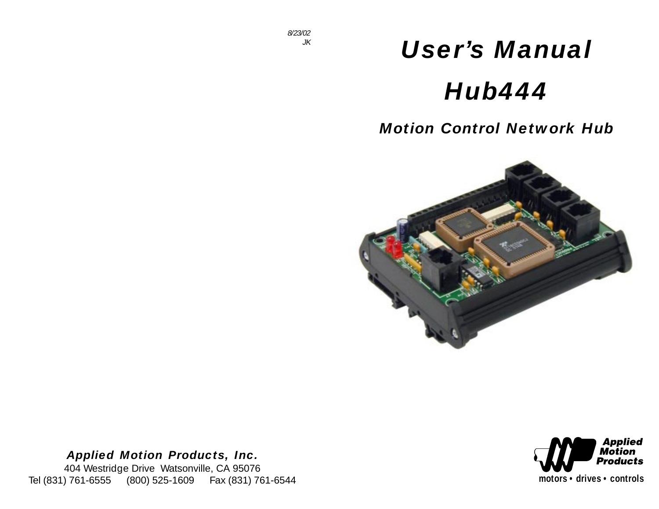# *User's Manual Hub444*

# *Motion Control Network Hub*



# *Applied Motion Products, Inc.*

404 Westridge Drive Watsonville, CA 95076 Tel (831) 761-6555 (800) 525-1609 Fax (831) 761-6544

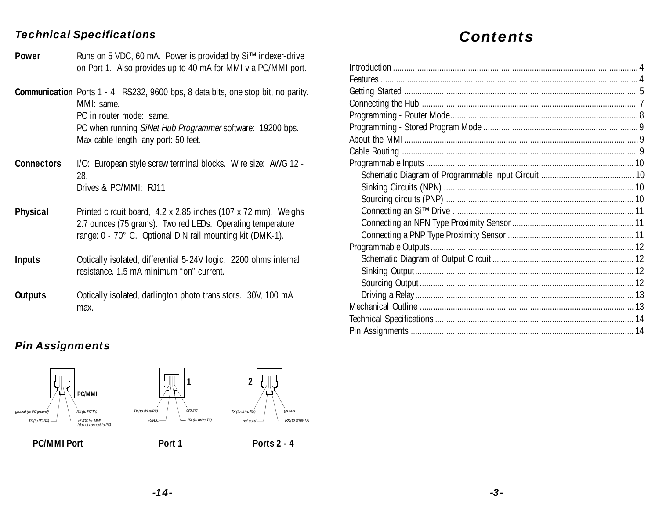#### *Technical Specifications*

- Runs on 5 VDC, 60 mA. Power is provided by Si™ indexer-drive on Port 1. Also provides up to 40 mA for MMI via PC/MMI port. **Power**
- **Communication** Ports 1 4: RS232, 9600 bps, 8 data bits, one stop bit, no parity. MMI: same. PC in router mode: same.

PC when running SiNet Hub Programmer software: 19200 bps. Max cable length, any port: 50 feet.

- I/O: European style screw terminal blocks. Wire size: AWG 12 28. Drives & PC/MMI: RJ11 **Connectors**
- Printed circuit board, 4.2 x 2.85 inches (107 x 72 mm). Weighs 2.7 ounces (75 grams). Two red LEDs. Operating temperature range: 0 - 70° C. Optional DIN rail mounting kit (DMK-1). **Physical**
- Optically isolated, differential 5-24V logic. 2200 ohms internal resistance. 1.5 mA minimum "on" current. **Inputs**
- Optically isolated, darlington photo transistors. 30V, 100 mA max. **Outputs**

# *Contents*

# *Pin Assignments*



PC/MMI Port **Port 1** Port 1 Ports 2 - 4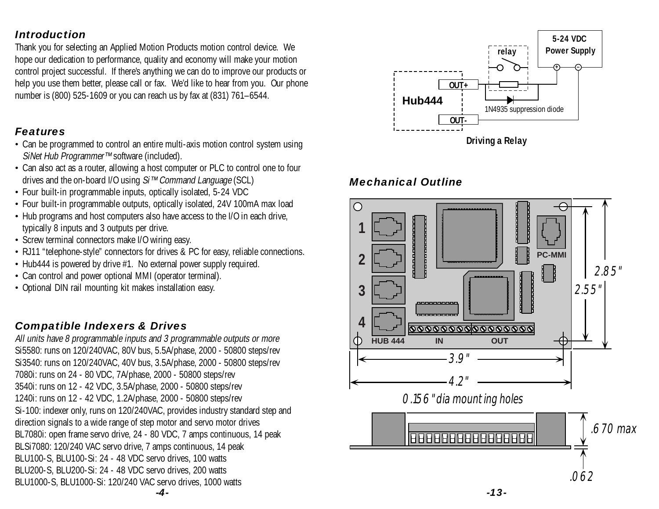### <span id="page-3-0"></span>*Introduction*

Thank you for selecting an Applied Motion Products motion control device. We hope our dedication to performance, quality and economy will make your motion control project successful. If there's anything we can do to improve our products or help you use them better, please call or fax. We'd like to hear from you. Our phone number is (800) 525-1609 or you can reach us by fax at (831) 761–6544.

## *Features*

- Can be programmed to control an entire multi-axis motion control system using SiNet Hub Programmer™ software (included).
- Can also act as a router, allowing a host computer or PLC to control one to four drives and the on-board I/O using Si™ Command Language (SCL)
- Four built-in programmable inputs, optically isolated, 5-24 VDC
- Four built-in programmable outputs, optically isolated, 24V 100mA max load
- Hub programs and host computers also have access to the I/O in each drive, typically 8 inputs and 3 outputs per drive.
- Screw terminal connectors make I/O wiring easy.
- RJ11 "telephone-style" connectors for drives & PC for easy, reliable connections.
- Hub444 is powered by drive #1. No external power supply required.
- Can control and power optional MMI (operator terminal).
- Optional DIN rail mounting kit makes installation easy.

# *Compatible Indexers & Drives*

All units have 8 programmable inputs and 3 programmable outputs or more Si5580: runs on 120/240VAC, 80V bus, 5.5A/phase, 2000 - 50800 steps/rev Si3540: runs on 120/240VAC, 40V bus, 3.5A/phase, 2000 - 50800 steps/rev 7080i: runs on 24 - 80 VDC, 7A/phase, 2000 - 50800 steps/rev 3540i: runs on 12 - 42 VDC, 3.5A/phase, 2000 - 50800 steps/rev 1240i: runs on 12 - 42 VDC, 1.2A/phase, 2000 - 50800 steps/rev Si-100: indexer only, runs on 120/240VAC, provides industry standard step and direction signals to a wide range of step motor and servo motor drives BL7080i: open frame servo drive, 24 - 80 VDC, 7 amps continuous, 14 peak BLSi7080: 120/240 VAC servo drive, 7 amps continuous, 14 peak BLU100-S, BLU100-Si: 24 - 48 VDC servo drives, 100 watts BLU200-S, BLU200-Si: 24 - 48 VDC servo drives, 200 watts BLU1000-S, BLU1000-Si: 120/240 VAC servo drives, 1000 watts



## *Mechanical Outline*



*-4-*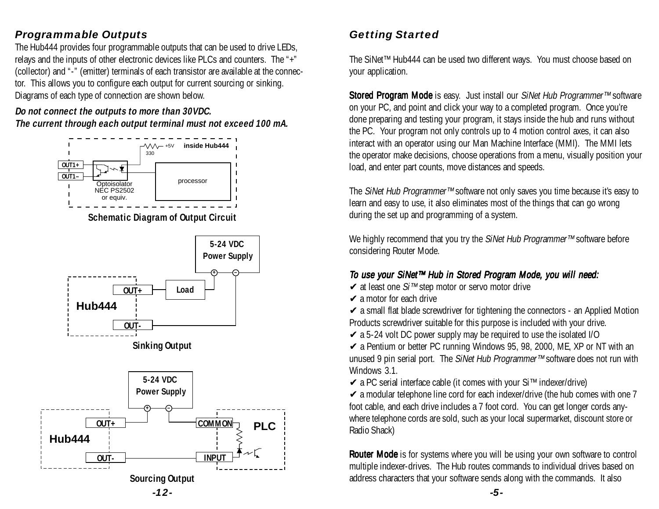# <span id="page-4-0"></span>*Programmable Outputs*

The Hub444 provides four programmable outputs that can be used to drive LEDs, relays and the inputs of other electronic devices like PLCs and counters. The "+" (collector) and "-" (emitter) terminals of each transistor are available at the connector. This allows you to configure each output for current sourcing or sinking. Diagrams of each type of connection are shown below.

#### **Do not connect the outputs to more than 30VDC. The current through each output terminal must not exceed 100 mA.**



**Schematic Diagram of Output Circuit**



# *Getting Started*

The SiNet™ Hub444 can be used two different ways. You must choose based on your application.

Stored Program Mode is easy. Just install our SiNet Hub Programmer™ software on your PC, and point and click your way to a completed program. Once you're done preparing and testing your program, it stays inside the hub and runs without the PC. Your program not only controls up to 4 motion control axes, it can also interact with an operator using our Man Machine Interface (MMI). The MMI lets the operator make decisions, choose operations from a menu, visually position your load, and enter part counts, move distances and speeds.

The SiNet Hub Programmer™ software not only saves you time because it's easy to learn and easy to use, it also eliminates most of the things that can go wrong during the set up and programming of a system.

We highly recommend that you try the SiNet Hub Programmer™ software before considering Router Mode.

#### To use your SiNet™ Hub in Stored Program Mode, you will need:

- ✔ at least one Si™ step motor or servo motor drive
- $\vee$  a motor for each drive

 $\checkmark$  a small flat blade screwdriver for tightening the connectors - an Applied Motion Products screwdriver suitable for this purpose is included with your drive.

 $\swarrow$  a 5-24 volt DC power supply may be required to use the isolated I/O

 $\triangleright$  a Pentium or better PC running Windows 95, 98, 2000, ME, XP or NT with an unused 9 pin serial port. The SiNet Hub Programmer™ software does not run with Windows 3.1.

✔ a PC serial interface cable (it comes with your Si™ indexer/drive)

 $\checkmark$  a modular telephone line cord for each indexer/drive (the hub comes with one 7 foot cable, and each drive includes a 7 foot cord. You can get longer cords anywhere telephone cords are sold, such as your local supermarket, discount store or Radio Shack)

Router Mode is for systems where you will be using your own software to control multiple indexer-drives. The Hub routes commands to individual drives based on address characters that your software sends along with the commands. It also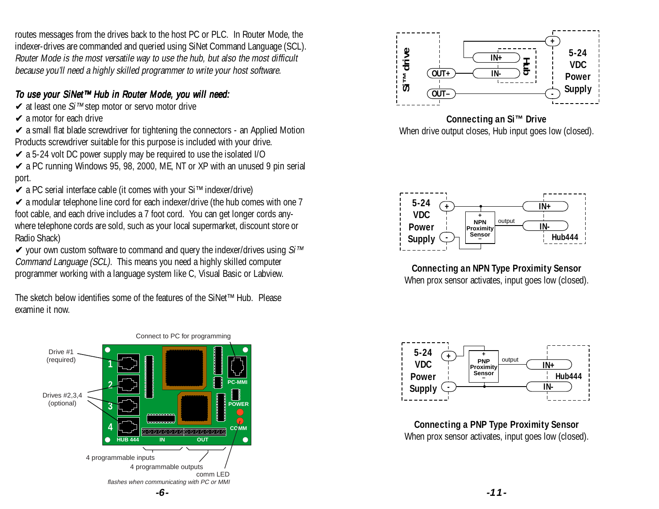<span id="page-5-0"></span>routes messages from the drives back to the host PC or PLC. In Router Mode, the indexer-drives are commanded and queried using SiNet Command Language (SCL). Router Mode is the most versatile way to use the hub, but also the most difficult because you'll need a highly skilled programmer to write your host software.

#### To use your SiNet™ Hub in Router Mode, you will need:

- ✔ at least one Si™ step motor or servo motor drive
- $\triangleright$  a motor for each drive
- $\checkmark$  a small flat blade screwdriver for tightening the connectors an Applied Motion Products screwdriver suitable for this purpose is included with your drive.
- $\overline{\smile}$  a 5-24 volt DC power supply may be required to use the isolated I/O
- $\sw$  a PC running Windows 95, 98, 2000, ME, NT or XP with an unused 9 pin serial port.
- ✔ a PC serial interface cable (it comes with your Si™ indexer/drive)
- $\checkmark$  a modular telephone line cord for each indexer/drive (the hub comes with one 7 foot cable, and each drive includes a 7 foot cord. You can get longer cords anywhere telephone cords are sold, such as your local supermarket, discount store or Radio Shack)
- $\checkmark$  your own custom software to command and query the indexer/drives using Si<sup>™</sup> Command Language (SCL). This means you need a highly skilled computer programmer working with a language system like C, Visual Basic or Labview.

The sketch below identifies some of the features of the SiNet™ Hub. Please examine it now.





#### **Connecting an Si™ Drive**





**Connecting an NPN Type Proximity Sensor** When prox sensor activates, input goes low (closed).



**Connecting a PNP Type Proximity Sensor**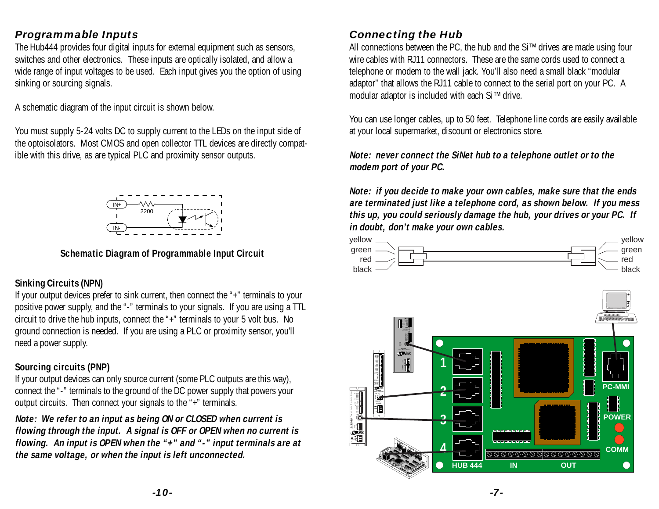## <span id="page-6-0"></span>*Programmable Inputs*

The Hub444 provides four digital inputs for external equipment such as sensors, switches and other electronics. These inputs are optically isolated, and allow a wide range of input voltages to be used. Each input gives you the option of using sinking or sourcing signals.

A schematic diagram of the input circuit is shown below.

You must supply 5-24 volts DC to supply current to the LEDs on the input side of the optoisolators. Most CMOS and open collector TTL devices are directly compatible with this drive, as are typical PLC and proximity sensor outputs.



#### **Schematic Diagram of Programmable Input Circuit**

#### **Sinking Circuits (NPN)**

If your output devices prefer to sink current, then connect the "+" terminals to your positive power supply, and the "-" terminals to your signals. If you are using a TTL circuit to drive the hub inputs, connect the "+" terminals to your 5 volt bus. No ground connection is needed. If you are using a PLC or proximity sensor, you'll need a power supply.

#### **Sourcing circuits (PNP)**

If your output devices can only source current (some PLC outputs are this way), connect the "-" terminals to the ground of the DC power supply that powers your output circuits. Then connect your signals to the "+" terminals.

**Note: We refer to an input as being ON or CLOSED when current is flowing through the input. A signal is OFF or OPEN when no current is flowing. An input is OPEN when the "+" and "-" input terminals are at the same voltage, or when the input is left unconnected.**

# *Connecting the Hub*

All connections between the PC, the hub and the Si™ drives are made using four wire cables with RJ11 connectors. These are the same cords used to connect a telephone or modem to the wall jack. You'll also need a small black "modular adaptor" that allows the RJ11 cable to connect to the serial port on your PC. A modular adaptor is included with each Si™ drive.

You can use longer cables, up to 50 feet. Telephone line cords are easily available at your local supermarket, discount or electronics store.

#### **Note: never connect the SiNet hub to a telephone outlet or to the modem port of your PC.**

**Note: if you decide to make your own cables, make sure that the ends are terminated just like a telephone cord, as shown below. If you mess this up, you could seriously damage the hub, your drives or your PC. If in doubt, don't make your own cables.**